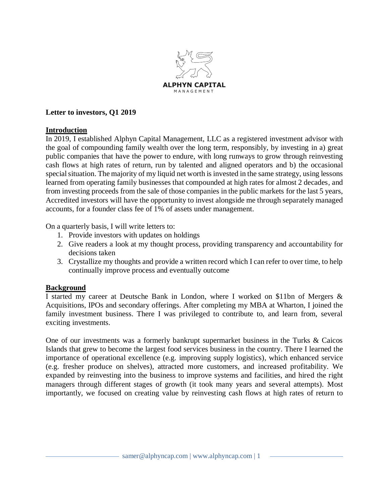

# **Letter to investors, Q1 2019**

### **Introduction**

In 2019, I established Alphyn Capital Management, LLC as a registered investment advisor with the goal of compounding family wealth over the long term, responsibly, by investing in a) great public companies that have the power to endure, with long runways to grow through reinvesting cash flows at high rates of return, run by talented and aligned operators and b) the occasional special situation. The majority of my liquid net worth is invested in the same strategy, using lessons learned from operating family businesses that compounded at high rates for almost 2 decades, and from investing proceeds from the sale of those companies in the public markets for the last 5 years, Accredited investors will have the opportunity to invest alongside me through separately managed accounts, for a founder class fee of 1% of assets under management.

On a quarterly basis, I will write letters to:

- 1. Provide investors with updates on holdings
- 2. Give readers a look at my thought process, providing transparency and accountability for decisions taken
- 3. Crystallize my thoughts and provide a written record which I can refer to over time, to help continually improve process and eventually outcome

# **Background**

I started my career at Deutsche Bank in London, where I worked on \$11bn of Mergers & Acquisitions, IPOs and secondary offerings. After completing my MBA at Wharton, I joined the family investment business. There I was privileged to contribute to, and learn from, several exciting investments.

One of our investments was a formerly bankrupt supermarket business in the Turks & Caicos Islands that grew to become the largest food services business in the country. There I learned the importance of operational excellence (e.g. improving supply logistics), which enhanced service (e.g. fresher produce on shelves), attracted more customers, and increased profitability. We expanded by reinvesting into the business to improve systems and facilities, and hired the right managers through different stages of growth (it took many years and several attempts). Most importantly, we focused on creating value by reinvesting cash flows at high rates of return to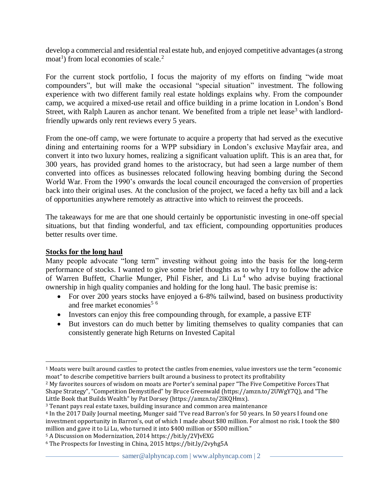develop a commercial and residential real estate hub, and enjoyed competitive advantages (a strong  $\text{mod}^1$ ) from local economies of scale.<sup>2</sup>

For the current stock portfolio, I focus the majority of my efforts on finding "wide moat compounders", but will make the occasional "special situation" investment. The following experience with two different family real estate holdings explains why. From the compounder camp, we acquired a mixed-use retail and office building in a prime location in London's Bond Street, with Ralph Lauren as anchor tenant. We benefited from a triple net lease<sup>3</sup> with landlordfriendly upwards only rent reviews every 5 years.

From the one-off camp, we were fortunate to acquire a property that had served as the executive dining and entertaining rooms for a WPP subsidiary in London's exclusive Mayfair area, and convert it into two luxury homes, realizing a significant valuation uplift. This is an area that, for 300 years, has provided grand homes to the aristocracy, but had seen a large number of them converted into offices as businesses relocated following heaving bombing during the Second World War. From the 1990's onwards the local council encouraged the conversion of properties back into their original uses. At the conclusion of the project, we faced a hefty tax bill and a lack of opportunities anywhere remotely as attractive into which to reinvest the proceeds.

The takeaways for me are that one should certainly be opportunistic investing in one-off special situations, but that finding wonderful, and tax efficient, compounding opportunities produces better results over time.

#### **Stocks for the long haul**

Many people advocate "long term" investing without going into the basis for the long-term performance of stocks. I wanted to give some brief thoughts as to why I try to follow the advice of Warren Buffett, Charlie Munger, Phil Fisher, and Li Lu<sup>4</sup> who advise buying fractional ownership in high quality companies and holding for the long haul. The basic premise is:

- For over 200 years stocks have enjoyed a 6-8% tailwind, based on business productivity and free market economies<sup>5  $6$ </sup>
- Investors can enjoy this free compounding through, for example, a passive ETF
- But investors can do much better by limiting themselves to quality companies that can consistently generate high Returns on Invested Capital

<sup>1</sup> Moats were built around castles to protect the castles from enemies, value investors use the term "economic moat" to describe competitive barriers built around a business to protect its profitability

<sup>2</sup> My favorites sources of wisdom on moats are Porter's seminal paper "The Five Competitive Forces That Shape Strategy", "Competition Demystified" by Bruce Greenwald (https://amzn.to/2UWgY7Q), and "The Little Book that Builds Wealth" by Pat Dorsey (https://amzn.to/2IKQHmx).

<sup>3</sup> Tenant pays real estate taxes, building insurance and common area maintenance

<sup>4</sup> In the 2017 Daily Journal meeting, Munger said "I've read Barron's for 50 years. In 50 years I found one investment opportunity in Barron's, out of which I made about \$80 million. For almost no risk. I took the \$80 million and gave it to Li Lu, who turned it into \$400 million or \$500 million."

<sup>5</sup> A Discussion on Modernization, 2014 https://bit.ly/2VJvEXG

<sup>6</sup> The Prospects for Investing in China, 2015 https://bit.ly/2vyhg5A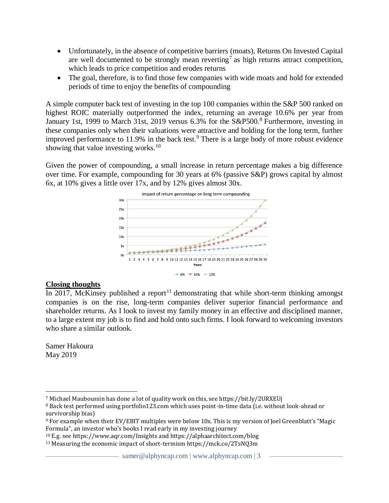- Unfortunately, in the absence of competitive barriers (moats), Returns On Invested Capital are well documented to be strongly mean reverting<sup>7</sup> as high returns attract competition, which leads to price competition and erodes returns
- The goal, therefore, is to find those few companies with wide moats and hold for extended periods of time to enjoy the benefits of compounding

A simple computer back test of investing in the top 100 companies within the S&P 500 ranked on highest ROIC materially outperformed the index, returning an average 10.6% per year from January 1st, 1999 to March 31st, 2019 versus 6.3% for the S&P500.<sup>8</sup> Furthermore, investing in these companies only when their valuations were attractive and holding for the long term, further improved performance to  $11.9\%$  in the back test.<sup>9</sup> There is a large body of more robust evidence showing that value investing works. $10<sup>10</sup>$ 

Given the power of compounding, a small increase in return percentage makes a big difference over time. For example, compounding for 30 years at 6% (passive S&P) grows capital by almost 6x, at 10% gives a little over 17x, and by 12% gives almost 30x.



# **Closing thoughts**

In 2017, McKinsey published a report<sup>11</sup> demonstrating that while short-term thinking amongst companies is on the rise, long-term companies deliver superior financial performance and shareholder returns. As I look to invest my family money in an effective and disciplined manner, to a large extent my job is to find and hold onto such firms. I look forward to welcoming investors who share a similar outlook.

Samer Hakoura May 2019

<sup>7</sup> Michael Mauboussin has done a lot of quality work on this, see https://bit.ly/2URXEUj

<sup>8</sup> Back test performed using portfolio123.com which uses point-in-time data (i.e. without look-ahead or survivorship bias)

<sup>9</sup> For example when their EV/EBIT multiples were below 10x. This is my version of Joel Greenblatt's "Magic Formula", an investor who's books I read early in my investing journey

<sup>10</sup> E.g. see https://www.aqr.com/Insights and https://alphaarchitect.com/blog

<sup>11</sup> Measuring the economic impact of short-termism https://mck.co/2TsNQ3m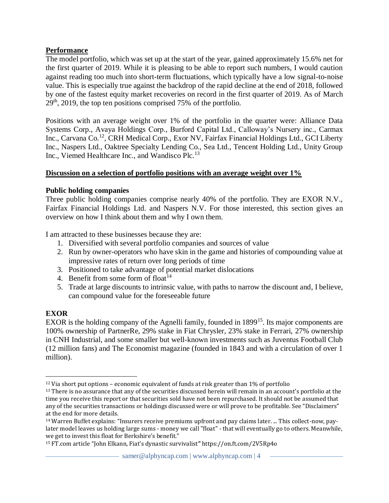# **Performance**

The model portfolio, which was set up at the start of the year, gained approximately 15.6% net for the first quarter of 2019. While it is pleasing to be able to report such numbers, I would caution against reading too much into short-term fluctuations, which typically have a low signal-to-noise value. This is especially true against the backdrop of the rapid decline at the end of 2018, followed by one of the fastest equity market recoveries on record in the first quarter of 2019. As of March  $29<sup>th</sup>$ , 2019, the top ten positions comprised 75% of the portfolio.

Positions with an average weight over 1% of the portfolio in the quarter were: Alliance Data Systems Corp., Avaya Holdings Corp., Burford Capital Ltd., Calloway's Nursery inc., Carmax Inc., Carvana Co.<sup>12</sup>, CRH Medical Corp., Exor NV, Fairfax Financial Holdings Ltd., GCI Liberty Inc., Naspers Ltd., Oaktree Specialty Lending Co., Sea Ltd., Tencent Holding Ltd., Unity Group Inc., Viemed Healthcare Inc., and Wandisco Plc.<sup>13</sup>

# **Discussion on a selection of portfolio positions with an average weight over 1%**

# **Public holding companies**

Three public holding companies comprise nearly 40% of the portfolio. They are EXOR N.V., Fairfax Financial Holdings Ltd. and Naspers N.V. For those interested, this section gives an overview on how I think about them and why I own them.

I am attracted to these businesses because they are:

- 1. Diversified with several portfolio companies and sources of value
- 2. Run by owner-operators who have skin in the game and histories of compounding value at impressive rates of return over long periods of time
- 3. Positioned to take advantage of potential market dislocations
- 4. Benefit from some form of float<sup>14</sup>
- 5. Trade at large discounts to intrinsic value, with paths to narrow the discount and, I believe, can compound value for the foreseeable future

# **EXOR**

EXOR is the holding company of the Agnelli family, founded in 1899<sup>15</sup>. Its major components are 100% ownership of PartnerRe, 29% stake in Fiat Chrysler, 23% stake in Ferrari, 27% ownership in CNH Industrial, and some smaller but well-known investments such as Juventus Football Club (12 million fans) and The Economist magazine (founded in 1843 and with a circulation of over 1 million).

 $12$  Via short put options – economic equivalent of funds at risk greater than 1% of portfolio

<sup>&</sup>lt;sup>13</sup> There is no assurance that any of the securities discussed herein will remain in an account's portfolio at the time you receive this report or that securities sold have not been repurchased. It should not be assumed that any of the securities transactions or holdings discussed were or will prove to be profitable. See "Disclaimers" at the end for more details.

<sup>14</sup> Warren Buffet explains: "Insurers receive premiums upfront and pay claims later. ... This collect-now, paylater model leaves us holding large sums - money we call "float" - that will eventually go to others. Meanwhile, we get to invest this float for Berkshire's benefit."

<sup>15</sup> FT.com article "John Elkann, Fiat's dynastic survivalist**"** https://on.ft.com/2V5Rp4o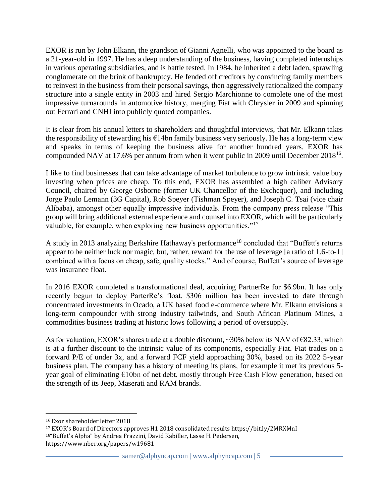EXOR is run by John Elkann, the grandson of Gianni Agnelli, who was appointed to the board as a 21-year-old in 1997. He has a deep understanding of the business, having completed internships in various operating subsidiaries, and is battle tested. In 1984, he inherited a debt laden, sprawling conglomerate on the brink of bankruptcy. He fended off creditors by convincing family members to reinvest in the business from their personal savings, then aggressively rationalized the company structure into a single entity in 2003 and hired Sergio Marchionne to complete one of the most impressive turnarounds in automotive history, merging Fiat with Chrysler in 2009 and spinning out Ferrari and CNHI into publicly quoted companies.

It is clear from his annual letters to shareholders and thoughtful interviews, that Mr. Elkann takes the responsibility of stewarding his  $\epsilon$ 14bn family business very seriously. He has a long-term view and speaks in terms of keeping the business alive for another hundred years. EXOR has compounded NAV at 17.6% per annum from when it went public in 2009 until December 2018<sup>16</sup>.

I like to find businesses that can take advantage of market turbulence to grow intrinsic value buy investing when prices are cheap. To this end, EXOR has assembled a high caliber Advisory Council, chaired by George Osborne (former UK Chancellor of the Exchequer), and including Jorge Paulo Lemann (3G Capital), Rob Speyer (Tishman Speyer), and Joseph C. Tsai (vice chair Alibaba), amongst other equally impressive individuals. From the company press release "This group will bring additional external experience and counsel into EXOR, which will be particularly valuable, for example, when exploring new business opportunities."<sup>17</sup>

A study in 2013 analyzing Berkshire Hathaway's performance<sup>18</sup> concluded that "Buffett's returns appear to be neither luck nor magic, but, rather, reward for the use of leverage [a ratio of 1.6-to-1] combined with a focus on cheap, safe, quality stocks." And of course, Buffett's source of leverage was insurance float.

In 2016 EXOR completed a transformational deal, acquiring PartnerRe for \$6.9bn. It has only recently begun to deploy ParterRe's float. \$306 million has been invested to date through concentrated investments in Ocado, a UK based food e-commerce where Mr. Elkann envisions a long-term compounder with strong industry tailwinds, and South African Platinum Mines, a commodities business trading at historic lows following a period of oversupply.

As for valuation, EXOR's shares trade at a double discount,  $\sim$ 30% below its NAV of  $\epsilon$ 82.33, which is at a further discount to the intrinsic value of its components, especially Fiat. Fiat trades on a forward P/E of under 3x, and a forward FCF yield approaching 30%, based on its 2022 5-year business plan. The company has a history of meeting its plans, for example it met its previous 5 year goal of eliminating €10bn of net debt, mostly through Free Cash Flow generation, based on the strength of its Jeep, Maserati and RAM brands.

<sup>16</sup> Exor shareholder letter 2018

<sup>17</sup> EXOR's Board of Directors approves H1 2018 consolidated results https://bit.ly/2MRXMnI <sup>18</sup>"Buffet's Alpha" by Andrea Frazzini, David Kabiller, Lasse H. Pedersen, https://www.nber.org/papers/w19681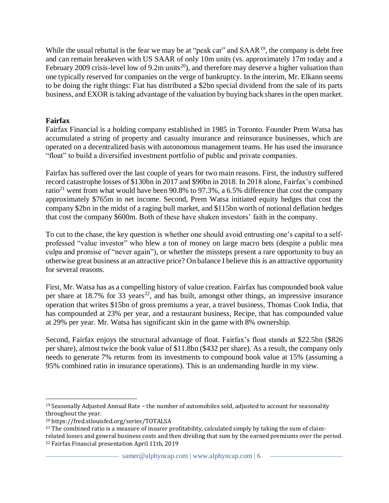While the usual rebuttal is the fear we may be at "peak car" and  $SAAA^{19}$ , the company is debt free and can remain breakeven with US SAAR of only 10m units (vs. approximately 17m today and a February 2009 crisis-level low of 9.2m units<sup>20</sup>), and therefore may deserve a higher valuation than one typically reserved for companies on the verge of bankruptcy. In the interim, Mr. Elkann seems to be doing the right things: Fiat has distributed a \$2bn special dividend from the sale of its parts business, and EXOR is taking advantage of the valuation by buying back shares in the open market.

# **Fairfax**

Fairfax Financial is a holding company established in 1985 in Toronto. Founder Prem Watsa has accumulated a string of property and casualty insurance and reinsurance businesses, which are operated on a decentralized basis with autonomous management teams. He has used the insurance "float" to build a diversified investment portfolio of public and private companies.

Fairfax has suffered over the last couple of years for two main reasons. First, the industry suffered record catastrophe losses of \$130bn in 2017 and \$90bn in 2018. In 2018 alone, Fairfax's combined ratio<sup>21</sup> went from what would have been 90.8% to 97.3%, a 6.5% difference that cost the company approximately \$765m in net income. Second, Prem Watsa initiated equity hedges that cost the company \$2bn in the midst of a raging bull market, and \$115bn worth of notional deflation hedges that cost the company \$600m. Both of these have shaken investors' faith in the company.

To cut to the chase, the key question is whether one should avoid entrusting one's capital to a selfprofessed "value investor" who blew a ton of money on large macro bets (despite a public mea culpa and promise of "never again"), or whether the missteps present a rare opportunity to buy an otherwise great business at an attractive price? On balance I believe this is an attractive opportunity for several reasons.

First, Mr. Watsa has as a compelling history of value creation. Fairfax has compounded book value per share at 18.7% for 33 years<sup>22</sup>, and has built, amongst other things, an impressive insurance operation that writes \$15bn of gross premiums a year, a travel business, Thomas Cook India, that has compounded at 23% per year, and a restaurant business, Recipe, that has compounded value at 29% per year. Mr. Watsa has significant skin in the game with 8% ownership.

Second, Fairfax enjoys the structural advantage of float. Fairfax's float stands at \$22.5bn (\$826 per share), almost twice the book value of \$11.8bn (\$432 per share). As a result, the company only needs to generate 7% returns from its investments to compound book value at 15% (assuming a 95% combined ratio in insurance operations). This is an undemanding hurdle in my view.

 $19$  Seasonally Adjusted Annual Rate – the number of automobiles sold, adjusted to account for seasonality throughout the year.

<sup>20</sup> https://fred.stlouisfed.org/series/TOTALSA

 $21$  The combined ratio is a measure of insurer profitability, calculated simply by taking the sum of claimrelated losses and general business costs and then dividing that sum by the earned premiums over the period. <sup>22</sup> Fairfax Financial presentation April 11th, 2019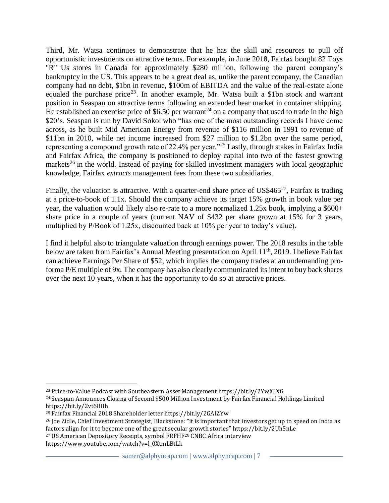Third, Mr. Watsa continues to demonstrate that he has the skill and resources to pull off opportunistic investments on attractive terms. For example, in June 2018, Fairfax bought 82 Toys "R" Us stores in Canada for approximately \$280 million, following the parent company's bankruptcy in the US. This appears to be a great deal as, unlike the parent company, the Canadian company had no debt, \$1bn in revenue, \$100m of EBITDA and the value of the real-estate alone equaled the purchase price<sup>23</sup>. In another example, Mr. Watsa built a \$1bn stock and warrant position in Seaspan on attractive terms following an extended bear market in container shipping. He established an exercise price of \$6.50 per warrant<sup>24</sup> on a company that used to trade in the high \$20's. Seaspan is run by David Sokol who "has one of the most outstanding records I have come across, as he built Mid American Energy from revenue of \$116 million in 1991 to revenue of \$11bn in 2010, while net income increased from \$27 million to \$1.2bn over the same period, representing a compound growth rate of 22.4% per year."<sup>25</sup> Lastly, through stakes in Fairfax India and Fairfax Africa, the company is positioned to deploy capital into two of the fastest growing markets<sup>26</sup> in the world. Instead of paying for skilled investment managers with local geographic knowledge, Fairfax *extracts* management fees from these two subsidiaries.

Finally, the valuation is attractive. With a quarter-end share price of US\$465<sup>27</sup>, Fairfax is trading at a price-to-book of 1.1x. Should the company achieve its target 15% growth in book value per year, the valuation would likely also re-rate to a more normalized 1.25x book, implying a \$600+ share price in a couple of years (current NAV of \$432 per share grown at 15% for 3 years, multiplied by P/Book of 1.25x, discounted back at 10% per year to today's value).

I find it helpful also to triangulate valuation through earnings power. The 2018 results in the table below are taken from Fairfax's Annual Meeting presentation on April 11<sup>th</sup>, 2019. I believe Fairfax can achieve Earnings Per Share of \$52, which implies the company trades at an undemanding proforma P/E multiple of 9x. The company has also clearly communicated its intent to buy back shares over the next 10 years, when it has the opportunity to do so at attractive prices.

https://www.youtube.com/watch?v=l\_0XtmLBtLk

<sup>23</sup> Price-to-Value Podcast with Southeastern Asset Management https://bit.ly/2YwXLXG

<sup>24</sup> Seaspan Announces Closing of Second \$500 Million Investment by Fairfax Financial Holdings Limited https://bit.ly/2vt68Hh

<sup>25</sup> Fairfax Financial 2018 Shareholder letter https://bit.ly/2GAIZYw

<sup>26</sup> Joe Zidle, Chief Investment Strategist, Blackstone: "it is important that investors get up to speed on India as factors align for it to become one of the great secular growth stories" https://bit.ly/2Uh5nLe

<sup>27</sup> US American Depository Receipts, symbol FRFHF<sup>28</sup> CNBC Africa interview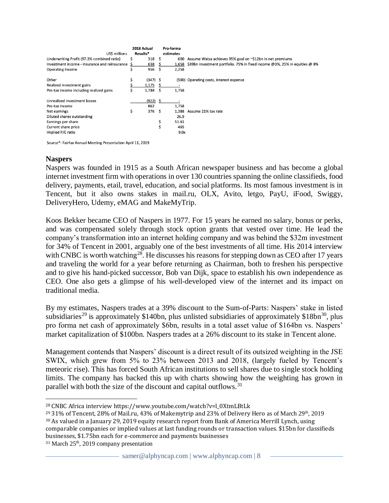| US\$ millions                                 |   | 2018 Actual<br>Results* |    | Pro-forma<br>estimates |                                                                            |
|-----------------------------------------------|---|-------------------------|----|------------------------|----------------------------------------------------------------------------|
| Underwriting Profit (97.3% combined ratio)    |   | 318                     | S. | 600                    | Assume Watsa achieves 95% goal on ~\$12bn in net premiums                  |
| Investment income - insurance and reinsurance |   | 638                     |    | 1,658                  | \$39bn investment portfolio. 75% in fixed income @3%, 25% in equities @ 8% |
| <b>Operating Income</b>                       |   | 956                     |    | 2,258                  |                                                                            |
| Other                                         |   | $(347)$ \$              |    |                        | (500) Operating costs, interest expense                                    |
| Realized investment gains                     |   | 1,175                   |    |                        |                                                                            |
| Pre-tax income including realized gains       |   | 1,784                   |    | 1,758                  |                                                                            |
| Unrealized investment losses                  |   | $(922)$ \$              |    |                        |                                                                            |
| Pre-tax income                                |   | 862                     |    | 1,758                  |                                                                            |
| Net earnings                                  | Ś | 376                     | Ŝ. | 1,388                  | Assume 21% tax rate                                                        |
| Diluted shares outstanding                    |   |                         |    | 26.9                   |                                                                            |
| Earnings per share                            |   |                         | \$ | 51.61                  |                                                                            |
| Current share price                           |   |                         | \$ | 465                    |                                                                            |
| Implied P/E ratio                             |   |                         |    | 9.0x                   |                                                                            |

Source\*: Fairfax Annual Meeting Presentation April 11, 2019

#### **Naspers**

Naspers was founded in 1915 as a South African newspaper business and has become a global internet investment firm with operations in over 130 countries spanning the online classifieds, food delivery, payments, etail, travel, education, and social platforms. Its most famous investment is in Tencent, but it also owns stakes in mail.ru, OLX, Avito, letgo, PayU, iFood, Swiggy, DeliveryHero, Udemy, eMAG and MakeMyTrip.

Koos Bekker became CEO of Naspers in 1977. For 15 years he earned no salary, bonus or perks, and was compensated solely through stock option grants that vested over time. He lead the company's transformation into an internet holding company and was behind the \$32m investment for 34% of Tencent in 2001, arguably one of the best investments of all time. His 2014 interview with CNBC is worth watching<sup>28</sup>. He discusses his reasons for stepping down as CEO after 17 years and traveling the world for a year before returning as Chairman, both to freshen his perspective and to give his hand-picked successor, Bob van Dijk, space to establish his own independence as CEO. One also gets a glimpse of his well-developed view of the internet and its impact on traditional media.

By my estimates, Naspers trades at a 39% discount to the Sum-of-Parts: Naspers' stake in listed subsidiaries<sup>29</sup> is approximately \$140bn, plus unlisted subsidiaries of approximately  $$18bn<sup>30</sup>$ , plus pro forma net cash of approximately \$6bn, results in a total asset value of \$164bn vs. Naspers' market capitalization of \$100bn. Naspers trades at a 26% discount to its stake in Tencent alone.

Management contends that Naspers' discount is a direct result of its outsized weighting in the JSE SWIX, which grew from 5% to 23% between 2013 and 2018, (largely fueled by Tencent's meteoric rise). This has forced South African institutions to sell shares due to single stock holding limits. The company has backed this up with charts showing how the weighting has grown in parallel with both the size of the discount and capital outflows.<sup>31</sup>

<sup>30</sup> As valued in a January 29, 2019 equity research report from Bank of America Merrill Lynch, using comparable companies or implied values at last funding rounds or transaction values. \$15bn for classifieds businesses, \$1.75bn each for e-commerce and payments businesses

<sup>31</sup> March 25<sup>th</sup>, 2019 company presentation

<sup>28</sup> CNBC Africa interview https://www.youtube.com/watch?v=l\_0XtmLBtLk

 $29$  31% of Tencent, 28% of Mail.ru, 43% of Makemytrip and 23% of Delivery Hero as of March 29<sup>th</sup>, 2019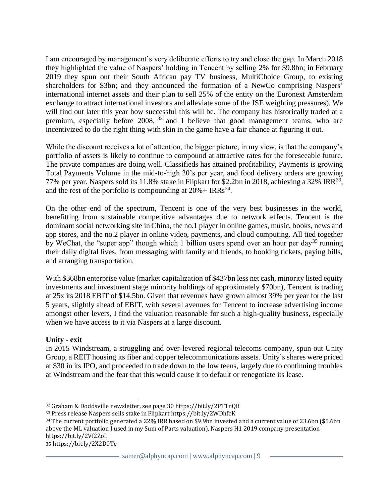I am encouraged by management's very deliberate efforts to try and close the gap. In March 2018 they highlighted the value of Naspers' holding in Tencent by selling 2% for \$9.8bn; in February 2019 they spun out their South African pay TV business, MultiChoice Group, to existing shareholders for \$3bn; and they announced the formation of a NewCo comprising Naspers' international internet assets and their plan to sell 25% of the entity on the Euronext Amsterdam exchange to attract international investors and alleviate some of the JSE weighting pressures). We will find out later this year how successful this will be. The company has historically traded at a premium, especially before 2008, <sup>32</sup> and I believe that good management teams, who are incentivized to do the right thing with skin in the game have a fair chance at figuring it out.

While the discount receives a lot of attention, the bigger picture, in my view, is that the company's portfolio of assets is likely to continue to compound at attractive rates for the foreseeable future. The private companies are doing well. Classifieds has attained profitability, Payments is growing Total Payments Volume in the mid-to-high 20's per year, and food delivery orders are growing 77% per year. Naspers sold its 11.8% stake in Flipkart for \$2.2bn in 2018, achieving a 32% IRR<sup>33</sup>, and the rest of the portfolio is compounding at  $20% + IRRs^{34}$ .

On the other end of the spectrum, Tencent is one of the very best businesses in the world, benefitting from sustainable competitive advantages due to network effects. Tencent is the dominant social networking site in China, the no.1 player in online games, music, books, news and app stores, and the no.2 player in online video, payments, and cloud computing. All tied together by WeChat, the "super app" though which 1 billion users spend over an hour per day<sup>35</sup> running their daily digital lives, from messaging with family and friends, to booking tickets, paying bills, and arranging transportation.

With \$368bn enterprise value (market capitalization of \$437bn less net cash, minority listed equity investments and investment stage minority holdings of approximately \$70bn), Tencent is trading at 25x its 2018 EBIT of \$14.5bn. Given that revenues have grown almost 39% per year for the last 5 years, slightly ahead of EBIT, with several avenues for Tencent to increase advertising income amongst other levers, I find the valuation reasonable for such a high-quality business, especially when we have access to it via Naspers at a large discount.

# **Unity - exit**

In 2015 Windstream, a struggling and over-levered regional telecoms company, spun out Unity Group, a REIT housing its fiber and copper telecommunications assets. Unity's shares were priced at \$30 in its IPO, and proceeded to trade down to the low teens, largely due to continuing troubles at Windstream and the fear that this would cause it to default or renegotiate its lease.

35 https://bit.ly/2X2D0Te

<sup>32</sup> Graham & Doddsville newsletter, see page 30 https://bit.ly/2PT1nQB

<sup>33</sup> Press release Naspers sells stake in Flipkart https://bit.ly/2WDhfcK

<sup>34</sup> The current portfolio generated a 22% IRR based on \$9.9bn invested and a current value of 23.6bn (\$5.6bn above the ML valuation I used in my Sum of Parts valuation). Naspers H1 2019 company presentation https://bit.ly/2Vf2ZoL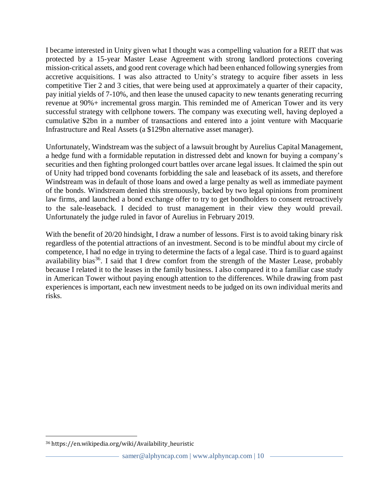I became interested in Unity given what I thought was a compelling valuation for a REIT that was protected by a 15-year Master Lease Agreement with strong landlord protections covering mission-critical assets, and good rent coverage which had been enhanced following synergies from accretive acquisitions. I was also attracted to Unity's strategy to acquire fiber assets in less competitive Tier 2 and 3 cities, that were being used at approximately a quarter of their capacity, pay initial yields of 7-10%, and then lease the unused capacity to new tenants generating recurring revenue at 90%+ incremental gross margin. This reminded me of American Tower and its very successful strategy with cellphone towers. The company was executing well, having deployed a cumulative \$2bn in a number of transactions and entered into a joint venture with Macquarie Infrastructure and Real Assets (a \$129bn alternative asset manager).

Unfortunately, Windstream was the subject of a lawsuit brought by Aurelius Capital Management, a hedge fund with a formidable reputation in distressed debt and known for buying a company's securities and then fighting prolonged court battles over arcane legal issues. It claimed the spin out of Unity had tripped bond covenants forbidding the sale and leaseback of its assets, and therefore Windstream was in default of those loans and owed a large penalty as well as immediate payment of the bonds. Windstream denied this strenuously, backed by two legal opinions from prominent law firms, and launched a bond exchange offer to try to get bondholders to consent retroactively to the sale-leaseback. I decided to trust management in their view they would prevail. Unfortunately the judge ruled in favor of Aurelius in February 2019.

With the benefit of 20/20 hindsight, I draw a number of lessons. First is to avoid taking binary risk regardless of the potential attractions of an investment. Second is to be mindful about my circle of competence, I had no edge in trying to determine the facts of a legal case. Third is to guard against availability bias<sup>36</sup>. I said that I drew comfort from the strength of the Master Lease, probably because I related it to the leases in the family business. I also compared it to a familiar case study in American Tower without paying enough attention to the differences. While drawing from past experiences is important, each new investment needs to be judged on its own individual merits and risks.

<sup>36</sup> https://en.wikipedia.org/wiki/Availability\_heuristic